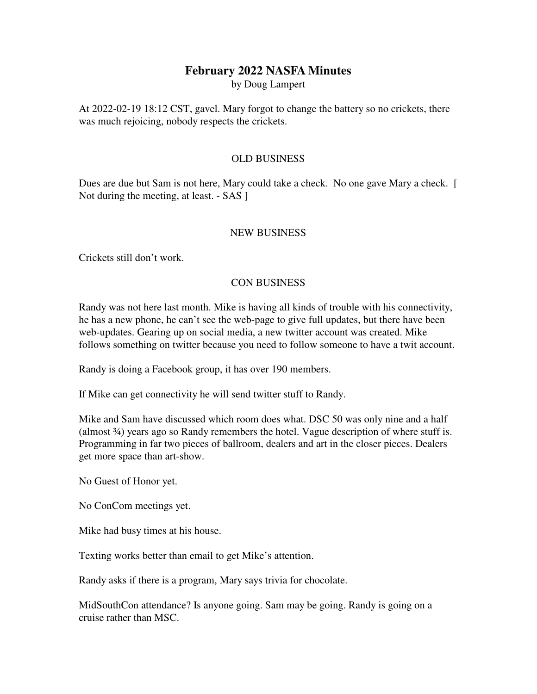## **February 2022 NASFA Minutes**

by Doug Lampert

At 2022-02-19 18:12 CST, gavel. Mary forgot to change the battery so no crickets, there was much rejoicing, nobody respects the crickets.

## OLD BUSINESS

Dues are due but Sam is not here, Mary could take a check. No one gave Mary a check. [ Not during the meeting, at least. - SAS ]

## NEW BUSINESS

Crickets still don't work.

## CON BUSINESS

Randy was not here last month. Mike is having all kinds of trouble with his connectivity, he has a new phone, he can't see the web-page to give full updates, but there have been web-updates. Gearing up on social media, a new twitter account was created. Mike follows something on twitter because you need to follow someone to have a twit account.

Randy is doing a Facebook group, it has over 190 members.

If Mike can get connectivity he will send twitter stuff to Randy.

Mike and Sam have discussed which room does what. DSC 50 was only nine and a half (almost  $\frac{3}{4}$ ) years ago so Randy remembers the hotel. Vague description of where stuff is. Programming in far two pieces of ballroom, dealers and art in the closer pieces. Dealers get more space than art-show.

No Guest of Honor yet.

No ConCom meetings yet.

Mike had busy times at his house.

Texting works better than email to get Mike's attention.

Randy asks if there is a program, Mary says trivia for chocolate.

MidSouthCon attendance? Is anyone going. Sam may be going. Randy is going on a cruise rather than MSC.